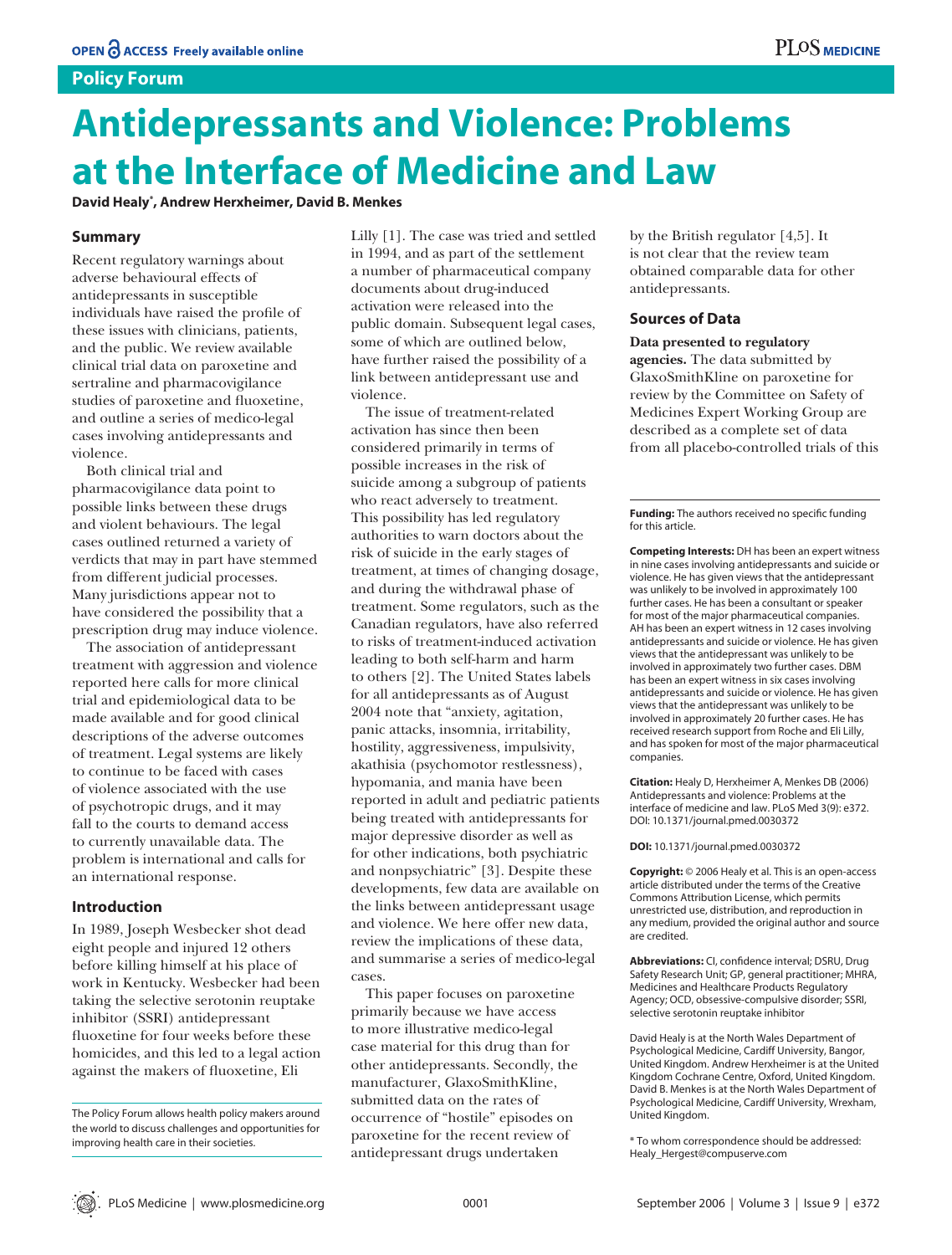## **Policy Forum**

# **Antidepressants and Violence: Problems at the Interface of Medicine and Law**

**David Healy\* , Andrew Herxheimer, David B. Menkes**

## **Summary**

Recent regulatory warnings about adverse behavioural effects of antidepressants in susceptible individuals have raised the profile of these issues with clinicians, patients, and the public. We review available clinical trial data on paroxetine and sertraline and pharmacovigilance studies of paroxetine and fluoxetine, and outline a series of medico-legal cases involving antidepressants and violence.

Both clinical trial and pharmacovigilance data point to possible links between these drugs and violent behaviours. The legal cases outlined returned a variety of verdicts that may in part have stemmed from different judicial processes. Many jurisdictions appear not to have considered the possibility that a prescription drug may induce violence.

The association of antidepressant treatment with aggression and violence reported here calls for more clinical trial and epidemiological data to be made available and for good clinical descriptions of the adverse outcomes of treatment. Legal systems are likely to continue to be faced with cases of violence associated with the use of psychotropic drugs, and it may fall to the courts to demand access to currently unavailable data. The problem is international and calls for an international response.

### **Introduction**

In 1989, Joseph Wesbecker shot dead eight people and injured 12 others before killing himself at his place of work in Kentucky. Wesbecker had been taking the selective serotonin reuptake inhibitor (SSRI) antidepressant fluoxetine for four weeks before these homicides, and this led to a legal action against the makers of fluoxetine, Eli

Lilly [1]. The case was tried and settled in 1994, and as part of the settlement a number of pharmaceutical company documents about drug-induced activation were released into the public domain. Subsequent legal cases, some of which are outlined below, have further raised the possibility of a link between antidepressant use and violence.

The issue of treatment-related activation has since then been considered primarily in terms of possible increases in the risk of suicide among a subgroup of patients who react adversely to treatment. This possibility has led regulatory authorities to warn doctors about the risk of suicide in the early stages of treatment, at times of changing dosage, and during the withdrawal phase of treatment. Some regulators, such as the Canadian regulators, have also referred to risks of treatment-induced activation leading to both self-harm and harm to others [2]. The United States labels for all antidepressants as of August 2004 note that "anxiety, agitation, panic attacks, insomnia, irritability, hostility, aggressiveness, impulsivity, akathisia (psychomotor restlessness), hypomania, and mania have been reported in adult and pediatric patients being treated with antidepressants for major depressive disorder as well as for other indications, both psychiatric and nonpsychiatric" [3]. Despite these developments, few data are available on the links between antidepressant usage and violence. We here offer new data, review the implications of these data, and summarise a series of medico-legal cases.

This paper focuses on paroxetine primarily because we have access to more illustrative medico-legal case material for this drug than for other antidepressants. Secondly, the manufacturer, GlaxoSmithKline, submitted data on the rates of occurrence of "hostile" episodes on paroxetine for the recent review of antidepressant drugs undertaken

by the British regulator [4,5]. It is not clear that the review team obtained comparable data for other antidepressants.

### **Sources of Data**

#### **Data presented to regulatory**

**agencies.** The data submitted by GlaxoSmithKline on paroxetine for review by the Committee on Safety of Medicines Expert Working Group are described as a complete set of data from all placebo-controlled trials of this

Funding: The authors received no specific funding for this article.

**Competing Interests:** DH has been an expert witness in nine cases involving antidepressants and suicide or violence. He has given views that the antidepressant was unlikely to be involved in approximately 100 further cases. He has been a consultant or speaker for most of the major pharmaceutical companies. AH has been an expert witness in 12 cases involving antidepressants and suicide or violence. He has given views that the antidepressant was unlikely to be involved in approximately two further cases. DBM has been an expert witness in six cases involving antidepressants and suicide or violence. He has given views that the antidepressant was unlikely to be involved in approximately 20 further cases. He has received research support from Roche and Eli Lilly, and has spoken for most of the major pharmaceutical companies.

**Citation:** Healy D, Herxheimer A, Menkes DB (2006) Antidepressants and violence: Problems at the interface of medicine and law. PLoS Med 3(9): e372. DOI: 10.1371/journal.pmed.0030372

**DOI:** 10.1371/journal.pmed.0030372

**Copyright:** © 2006 Healy et al. This is an open-access article distributed under the terms of the Creative Commons Attribution License, which permits unrestricted use, distribution, and reproduction in any medium, provided the original author and source are credited.

**Abbreviations:** CI, confidence interval; DSRU, Drug Safety Research Unit; GP, general practitioner; MHRA, Medicines and Healthcare Products Regulatory Agency; OCD, obsessive-compulsive disorder; SSRI, selective serotonin reuptake inhibitor

David Healy is at the North Wales Department of Psychological Medicine, Cardiff University, Bangor, United Kingdom. Andrew Herxheimer is at the United Kingdom Cochrane Centre, Oxford, United Kingdom. David B. Menkes is at the North Wales Department of Psychological Medicine, Cardiff University, Wrexham, United Kingdom.

\* To whom correspondence should be addressed: Healy\_Hergest@compuserve.com

The Policy Forum allows health policy makers around the world to discuss challenges and opportunities for improving health care in their societies.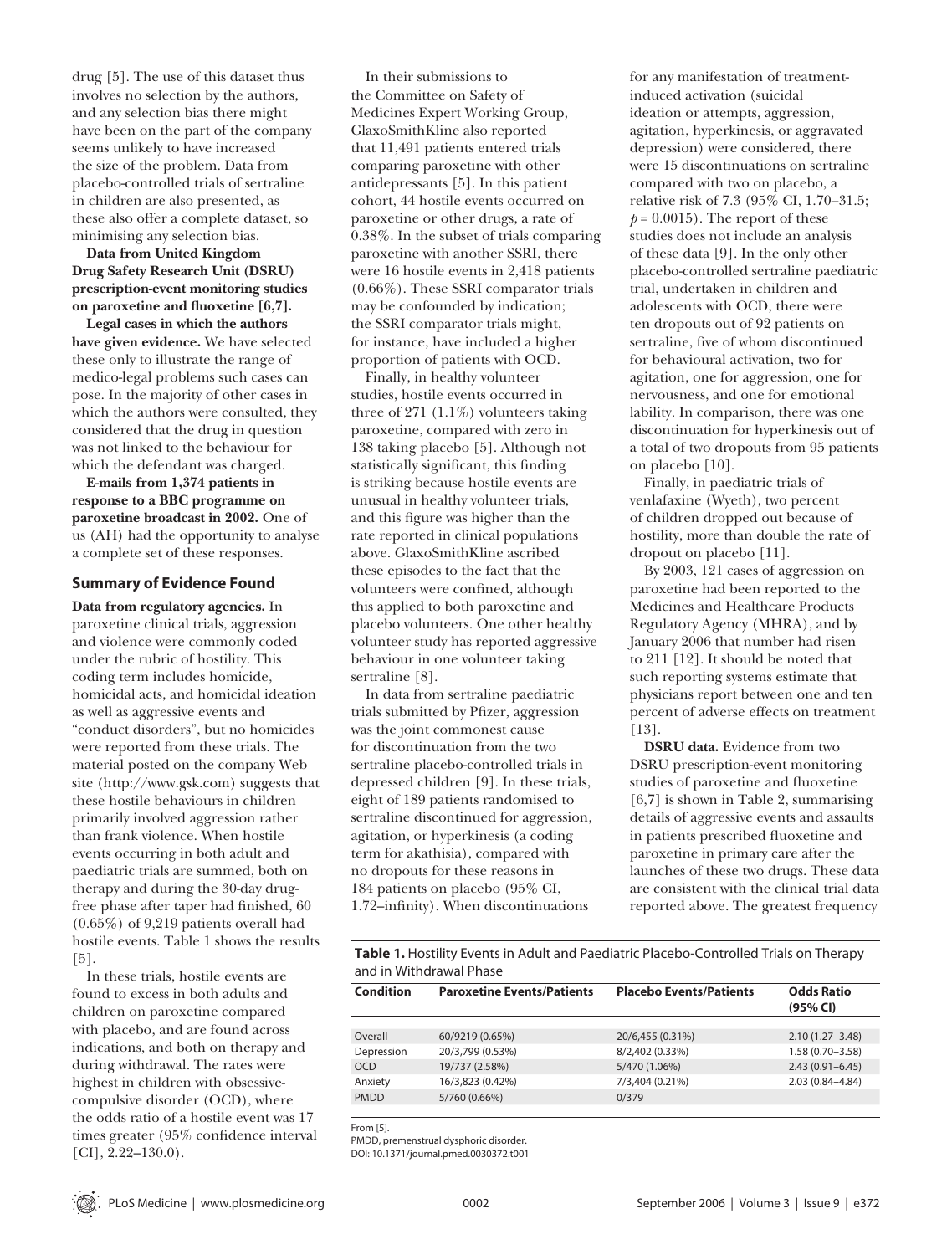drug [5]. The use of this dataset thus involves no selection by the authors, and any selection bias there might have been on the part of the company seems unlikely to have increased the size of the problem. Data from placebo-controlled trials of sertraline in children are also presented, as these also offer a complete dataset, so minimising any selection bias.

**Data from United Kingdom Drug Safety Research Unit (DSRU) prescription-event monitoring studies**  on paroxetine and fluoxetine [6,7].

**Legal cases in which the authors have given evidence.** We have selected these only to illustrate the range of medico-legal problems such cases can pose. In the majority of other cases in which the authors were consulted, they considered that the drug in question was not linked to the behaviour for which the defendant was charged.

**E-mails from 1,374 patients in response to a BBC programme on paroxetine broadcast in 2002.** One of us (AH) had the opportunity to analyse a complete set of these responses.

#### **Summary of Evidence Found**

**Data from regulatory agencies.** In paroxetine clinical trials, aggression and violence were commonly coded under the rubric of hostility. This coding term includes homicide, homicidal acts, and homicidal ideation as well as aggressive events and "conduct disorders", but no homicides were reported from these trials. The material posted on the company Web site (http:⁄⁄www.gsk.com) suggests that these hostile behaviours in children primarily involved aggression rather than frank violence. When hostile events occurring in both adult and paediatric trials are summed, both on therapy and during the 30-day drugfree phase after taper had finished, 60 (0.65%) of 9,219 patients overall had hostile events. Table 1 shows the results [5].

In these trials, hostile events are found to excess in both adults and children on paroxetine compared with placebo, and are found across indications, and both on therapy and during withdrawal. The rates were highest in children with obsessivecompulsive disorder (OCD), where the odds ratio of a hostile event was 17 times greater (95% confidence interval  $[CI], 2.22-130.0$ .

In their submissions to the Committee on Safety of Medicines Expert Working Group, GlaxoSmithKline also reported that 11,491 patients entered trials comparing paroxetine with other antidepressants [5]. In this patient cohort, 44 hostile events occurred on paroxetine or other drugs, a rate of 0.38%. In the subset of trials comparing paroxetine with another SSRI, there were 16 hostile events in 2,418 patients (0.66%). These SSRI comparator trials may be confounded by indication; the SSRI comparator trials might, for instance, have included a higher proportion of patients with OCD.

Finally, in healthy volunteer studies, hostile events occurred in three of 271  $(1.1\%)$  volunteers taking paroxetine, compared with zero in 138 taking placebo [5]. Although not statistically significant, this finding is striking because hostile events are unusual in healthy volunteer trials, and this figure was higher than the rate reported in clinical populations above. GlaxoSmithKline ascribed these episodes to the fact that the volunteers were confined, although this applied to both paroxetine and placebo volunteers. One other healthy volunteer study has reported aggressive behaviour in one volunteer taking sertraline [8].

In data from sertraline paediatric trials submitted by Pfizer, aggression was the joint commonest cause for discontinuation from the two sertraline placebo-controlled trials in depressed children [9]. In these trials, eight of 189 patients randomised to sertraline discontinued for aggression, agitation, or hyperkinesis (a coding term for akathisia), compared with no dropouts for these reasons in 184 patients on placebo (95% CI, 1.72–infinity). When discontinuations

for any manifestation of treatmentinduced activation (suicidal ideation or attempts, aggression, agitation, hyperkinesis, or aggravated depression) were considered, there were 15 discontinuations on sertraline compared with two on placebo, a relative risk of 7.3 (95% CI, 1.70–31.5;  $p = 0.0015$ . The report of these studies does not include an analysis of these data [9]. In the only other placebo-controlled sertraline paediatric trial, undertaken in children and adolescents with OCD, there were ten dropouts out of 92 patients on sertraline, five of whom discontinued for behavioural activation, two for agitation, one for aggression, one for nervousness, and one for emotional lability. In comparison, there was one discontinuation for hyperkinesis out of a total of two dropouts from 95 patients on placebo [10].

Finally, in paediatric trials of venlafaxine (Wyeth), two percent of children dropped out because of hostility, more than double the rate of dropout on placebo [11].

By 2003, 121 cases of aggression on paroxetine had been reported to the Medicines and Healthcare Products Regulatory Agency (MHRA), and by January 2006 that number had risen to 211 [12]. It should be noted that such reporting systems estimate that physicians report between one and ten percent of adverse effects on treatment [13].

**DSRU data.** Evidence from two DSRU prescription-event monitoring studies of paroxetine and fluoxetine [6,7] is shown in Table 2, summarising details of aggressive events and assaults in patients prescribed fluoxetine and paroxetine in primary care after the launches of these two drugs. These data are consistent with the clinical trial data reported above. The greatest frequency

**Table 1.** Hostility Events in Adult and Paediatric Placebo-Controlled Trials on Therapy and in Withdrawal Phase

| Condition   | <b>Paroxetine Events/Patients</b> | <b>Placebo Events/Patients</b> | <b>Odds Ratio</b><br>(95% CI) |
|-------------|-----------------------------------|--------------------------------|-------------------------------|
|             |                                   |                                |                               |
| Overall     | 60/9219 (0.65%)                   | 20/6,455 (0.31%)               | $2.10(1.27 - 3.48)$           |
| Depression  | 20/3,799 (0.53%)                  | 8/2,402 (0.33%)                | $1.58(0.70 - 3.58)$           |
| <b>OCD</b>  | 19/737 (2.58%)                    | 5/470 (1.06%)                  | $2.43(0.91 - 6.45)$           |
| Anxiety     | 16/3,823 (0.42%)                  | 7/3,404 (0.21%)                | $2.03(0.84 - 4.84)$           |
| <b>PMDD</b> | 5/760 (0.66%)                     | 0/379                          |                               |
|             |                                   |                                |                               |

From [5].

PMDD, premenstrual dysphoric disorder.

DOI: 10.1371/journal.pmed.0030372.t001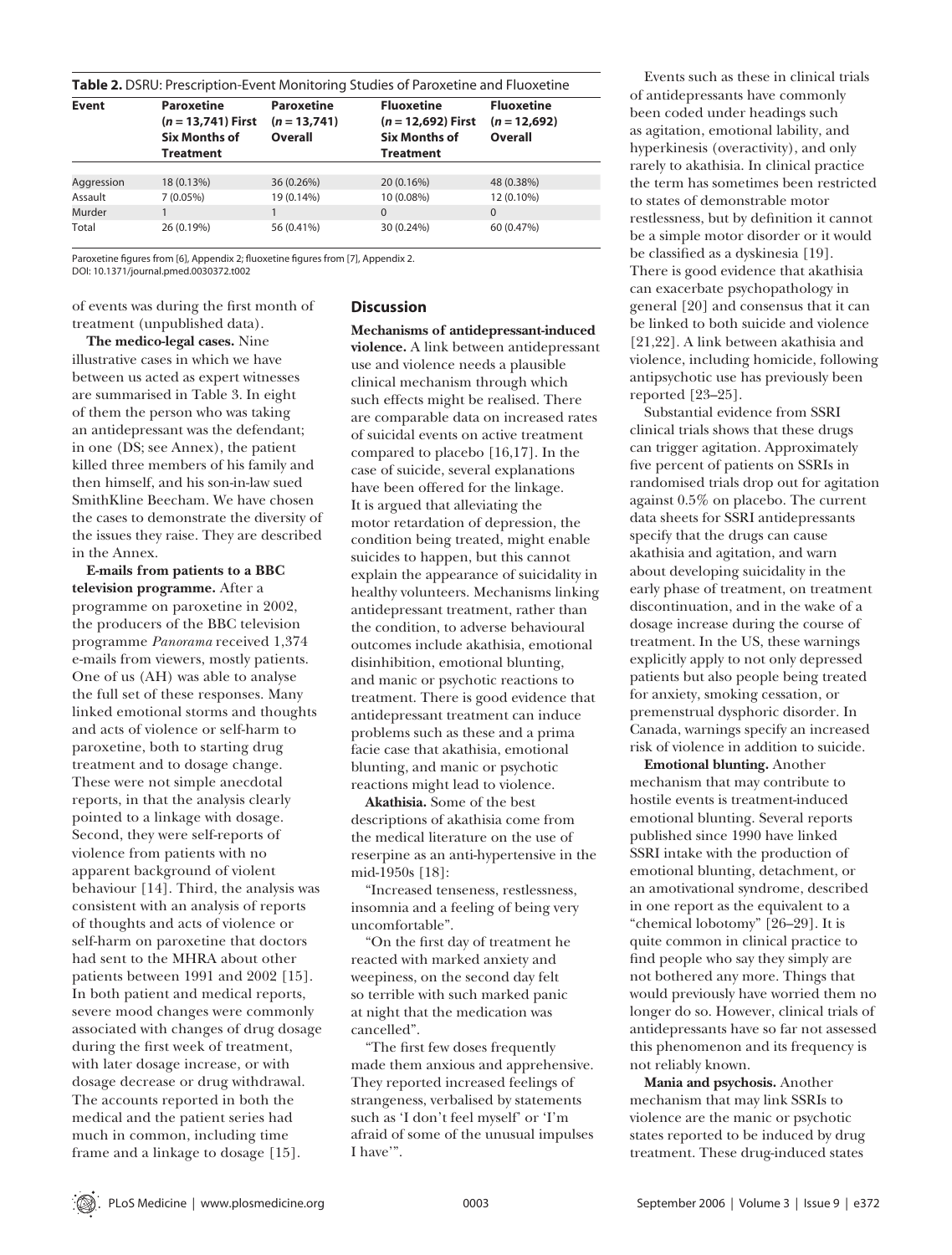| <b>Event</b> | <b>Paroxetine</b><br>$(n = 13,741)$ First | <b>Paroxetine</b><br>$(n = 13.741)$ | <b>Fluoxetine</b><br>$(n = 12,692)$ First | <b>Fluoxetine</b><br>$(n = 12,692)$ |  |  |
|--------------|-------------------------------------------|-------------------------------------|-------------------------------------------|-------------------------------------|--|--|
|              | <b>Six Months of</b>                      | Overall                             | <b>Six Months of</b>                      | Overall                             |  |  |
|              | Treatment                                 |                                     | <b>Treatment</b>                          |                                     |  |  |
|              |                                           |                                     |                                           |                                     |  |  |
| Aggression   | 18 (0.13%)                                | 36 (0.26%)                          | 20 (0.16%)                                | 48 (0.38%)                          |  |  |
| Assault      | $7(0.05\%)$                               | 19 (0.14%)                          | 10 (0.08%)                                | 12 (0.10%)                          |  |  |
| Murder       |                                           |                                     | $\Omega$                                  | $\Omega$                            |  |  |
| Total        | 26 (0.19%)                                | 56 (0.41%)                          | 30 (0.24%)                                | 60 (0.47%)                          |  |  |

Paroxetine figures from [6], Appendix 2; fluoxetine figures from [7], Appendix 2. DOI: 10.1371/journal.pmed.0030372.t002

of events was during the first month of treatment (unpublished data).

**The medico-legal cases.** Nine illustrative cases in which we have between us acted as expert witnesses are summarised in Table 3. In eight of them the person who was taking an antidepressant was the defendant; in one (DS; see Annex), the patient killed three members of his family and then himself, and his son-in-law sued SmithKline Beecham. We have chosen the cases to demonstrate the diversity of the issues they raise. They are described in the Annex.

**E-mails from patients to a BBC television programme.** After a programme on paroxetine in 2002, the producers of the BBC television programme *Panorama* received 1,374 e-mails from viewers, mostly patients. One of us (AH) was able to analyse the full set of these responses. Many linked emotional storms and thoughts and acts of violence or self-harm to paroxetine, both to starting drug treatment and to dosage change. These were not simple anecdotal reports, in that the analysis clearly pointed to a linkage with dosage. Second, they were self-reports of violence from patients with no apparent background of violent behaviour [14]. Third, the analysis was consistent with an analysis of reports of thoughts and acts of violence or self-harm on paroxetine that doctors had sent to the MHRA about other patients between 1991 and 2002 [15]. In both patient and medical reports, severe mood changes were commonly associated with changes of drug dosage during the first week of treatment, with later dosage increase, or with dosage decrease or drug withdrawal. The accounts reported in both the medical and the patient series had much in common, including time frame and a linkage to dosage [15].

#### **Discussion**

**Mechanisms of antidepressant-induced violence.** A link between antidepressant use and violence needs a plausible clinical mechanism through which such effects might be realised. There are comparable data on increased rates of suicidal events on active treatment compared to placebo [16,17]. In the case of suicide, several explanations have been offered for the linkage. It is argued that alleviating the motor retardation of depression, the condition being treated, might enable suicides to happen, but this cannot explain the appearance of suicidality in healthy volunteers. Mechanisms linking antidepressant treatment, rather than the condition, to adverse behavioural outcomes include akathisia, emotional disinhibition, emotional blunting, and manic or psychotic reactions to treatment. There is good evidence that antidepressant treatment can induce problems such as these and a prima facie case that akathisia, emotional blunting, and manic or psychotic reactions might lead to violence.

**Akathisia.** Some of the best descriptions of akathisia come from the medical literature on the use of reserpine as an anti-hypertensive in the mid-1950s [18]:

"Increased tenseness, restlessness, insomnia and a feeling of being very uncomfortable".

"On the first day of treatment he reacted with marked anxiety and weepiness, on the second day felt so terrible with such marked panic at night that the medication was cancelled".

"The first few doses frequently made them anxious and apprehensive. They reported increased feelings of strangeness, verbalised by statements such as 'I don't feel myself' or 'I'm afraid of some of the unusual impulses I have'".

Events such as these in clinical trials of antidepressants have commonly been coded under headings such as agitation, emotional lability, and hyperkinesis (overactivity), and only rarely to akathisia. In clinical practice the term has sometimes been restricted to states of demonstrable motor restlessness, but by definition it cannot be a simple motor disorder or it would be classified as a dyskinesia [19]. There is good evidence that akathisia can exacerbate psychopathology in general [20] and consensus that it can be linked to both suicide and violence [21,22]. A link between akathisia and violence, including homicide, following antipsychotic use has previously been reported [23–25].

Substantial evidence from SSRI clinical trials shows that these drugs can trigger agitation. Approximately five percent of patients on SSRIs in randomised trials drop out for agitation against 0.5% on placebo. The current data sheets for SSRI antidepressants specify that the drugs can cause akathisia and agitation, and warn about developing suicidality in the early phase of treatment, on treatment discontinuation, and in the wake of a dosage increase during the course of treatment. In the US, these warnings explicitly apply to not only depressed patients but also people being treated for anxiety, smoking cessation, or premenstrual dysphoric disorder. In Canada, warnings specify an increased risk of violence in addition to suicide.

**Emotional blunting.** Another mechanism that may contribute to hostile events is treatment-induced emotional blunting. Several reports published since 1990 have linked SSRI intake with the production of emotional blunting, detachment, or an amotivational syndrome, described in one report as the equivalent to a "chemical lobotomy" [26–29]. It is quite common in clinical practice to find people who say they simply are not bothered any more. Things that would previously have worried them no longer do so. However, clinical trials of antidepressants have so far not assessed this phenomenon and its frequency is not reliably known.

**Mania and psychosis.** Another mechanism that may link SSRIs to violence are the manic or psychotic states reported to be induced by drug treatment. These drug-induced states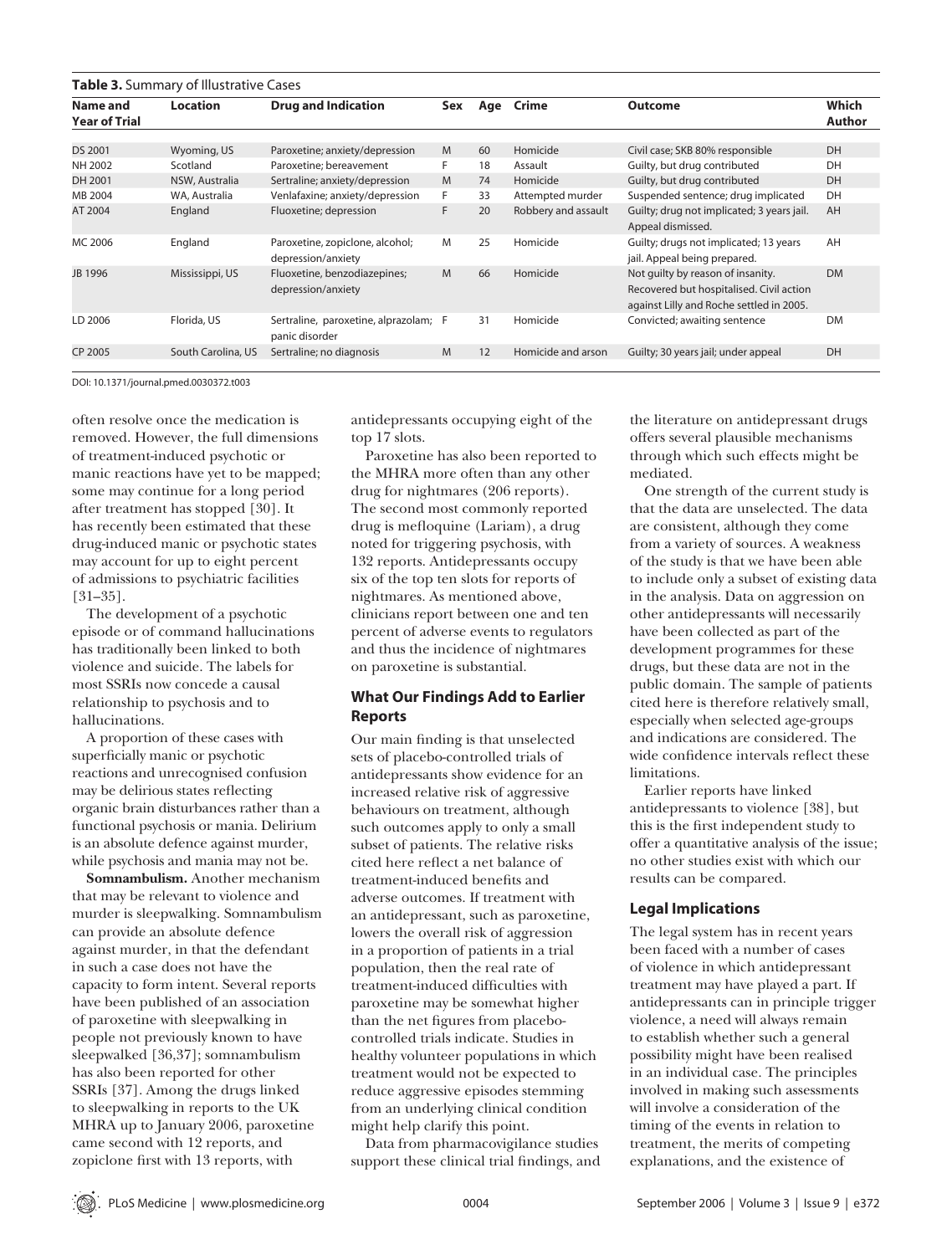| Table 3. Summary of Illustrative Cases |                    |                                                         |     |     |                     |                                                                                                                           |                 |  |  |
|----------------------------------------|--------------------|---------------------------------------------------------|-----|-----|---------------------|---------------------------------------------------------------------------------------------------------------------------|-----------------|--|--|
| Name and<br><b>Year of Trial</b>       | <b>Location</b>    | <b>Drug and Indication</b>                              | Sex | Age | Crime               | <b>Outcome</b>                                                                                                            | Which<br>Author |  |  |
| <b>DS 2001</b>                         | Wyoming, US        | Paroxetine; anxiety/depression                          | M   | 60  | Homicide            | Civil case; SKB 80% responsible                                                                                           | DH              |  |  |
| NH 2002                                | Scotland           | Paroxetine: bereavement                                 | F   | 18  | Assault             | Guilty, but drug contributed                                                                                              | DH              |  |  |
| DH 2001                                | NSW, Australia     | Sertraline; anxiety/depression                          | M   | 74  | Homicide            | Guilty, but drug contributed                                                                                              | DH              |  |  |
| MB 2004                                | WA, Australia      | Venlafaxine; anxiety/depression                         | F   | 33  | Attempted murder    | Suspended sentence; drug implicated                                                                                       | DH              |  |  |
| AT 2004                                | England            | Fluoxetine; depression                                  | F   | 20  | Robbery and assault | Guilty; drug not implicated; 3 years jail.<br>Appeal dismissed.                                                           | AH              |  |  |
| MC 2006                                | England            | Paroxetine, zopiclone, alcohol;<br>depression/anxiety   | M   | 25  | Homicide            | Guilty; drugs not implicated; 13 years<br>jail. Appeal being prepared.                                                    | AH              |  |  |
| JB 1996                                | Mississippi, US    | Fluoxetine, benzodiazepines;<br>depression/anxiety      | M   | 66  | Homicide            | Not quilty by reason of insanity.<br>Recovered but hospitalised. Civil action<br>against Lilly and Roche settled in 2005. | <b>DM</b>       |  |  |
| LD 2006                                | Florida, US        | Sertraline, paroxetine, alprazolam; F<br>panic disorder |     | 31  | Homicide            | Convicted; awaiting sentence                                                                                              | <b>DM</b>       |  |  |
| CP 2005                                | South Carolina, US | Sertraline; no diagnosis                                | M   | 12  | Homicide and arson  | Guilty; 30 years jail; under appeal                                                                                       | DH              |  |  |

DOI: 10.1371/journal.pmed.0030372.t003

often resolve once the medication is removed. However, the full dimensions of treatment-induced psychotic or manic reactions have yet to be mapped; some may continue for a long period after treatment has stopped [30]. It has recently been estimated that these drug-induced manic or psychotic states may account for up to eight percent of admissions to psychiatric facilities [31–35].

The development of a psychotic episode or of command hallucinations has traditionally been linked to both violence and suicide. The labels for most SSRIs now concede a causal relationship to psychosis and to hallucinations.

A proportion of these cases with superficially manic or psychotic reactions and unrecognised confusion may be delirious states reflecting organic brain disturbances rather than a functional psychosis or mania. Delirium is an absolute defence against murder, while psychosis and mania may not be.

**Somnambulism.** Another mechanism that may be relevant to violence and murder is sleepwalking. Somnambulism can provide an absolute defence against murder, in that the defendant in such a case does not have the capacity to form intent. Several reports have been published of an association of paroxetine with sleepwalking in people not previously known to have sleepwalked [36,37]; somnambulism has also been reported for other SSRIs [37]. Among the drugs linked to sleepwalking in reports to the UK MHRA up to January 2006, paroxetine came second with 12 reports, and zopiclone first with 13 reports, with

antidepressants occupying eight of the top 17 slots.

Paroxetine has also been reported to the MHRA more often than any other drug for nightmares (206 reports). The second most commonly reported drug is mefloquine (Lariam), a drug noted for triggering psychosis, with 132 reports. Antidepressants occupy six of the top ten slots for reports of nightmares. As mentioned above, clinicians report between one and ten percent of adverse events to regulators and thus the incidence of nightmares on paroxetine is substantial.

## **What Our Findings Add to Earlier Reports**

Our main finding is that unselected sets of placebo-controlled trials of antidepressants show evidence for an increased relative risk of aggressive behaviours on treatment, although such outcomes apply to only a small subset of patients. The relative risks cited here reflect a net balance of treatment-induced benefits and adverse outcomes. If treatment with an antidepressant, such as paroxetine, lowers the overall risk of aggression in a proportion of patients in a trial population, then the real rate of treatment-induced difficulties with paroxetine may be somewhat higher than the net figures from placebocontrolled trials indicate. Studies in healthy volunteer populations in which treatment would not be expected to reduce aggressive episodes stemming from an underlying clinical condition might help clarify this point.

Data from pharmacovigilance studies support these clinical trial findings, and the literature on antidepressant drugs offers several plausible mechanisms through which such effects might be mediated.

One strength of the current study is that the data are unselected. The data are consistent, although they come from a variety of sources. A weakness of the study is that we have been able to include only a subset of existing data in the analysis. Data on aggression on other antidepressants will necessarily have been collected as part of the development programmes for these drugs, but these data are not in the public domain. The sample of patients cited here is therefore relatively small, especially when selected age-groups and indications are considered. The wide confidence intervals reflect these limitations.

Earlier reports have linked antidepressants to violence [38], but this is the first independent study to offer a quantitative analysis of the issue; no other studies exist with which our results can be compared.

## **Legal Implications**

The legal system has in recent years been faced with a number of cases of violence in which antidepressant treatment may have played a part. If antidepressants can in principle trigger violence, a need will always remain to establish whether such a general possibility might have been realised in an individual case. The principles involved in making such assessments will involve a consideration of the timing of the events in relation to treatment, the merits of competing explanations, and the existence of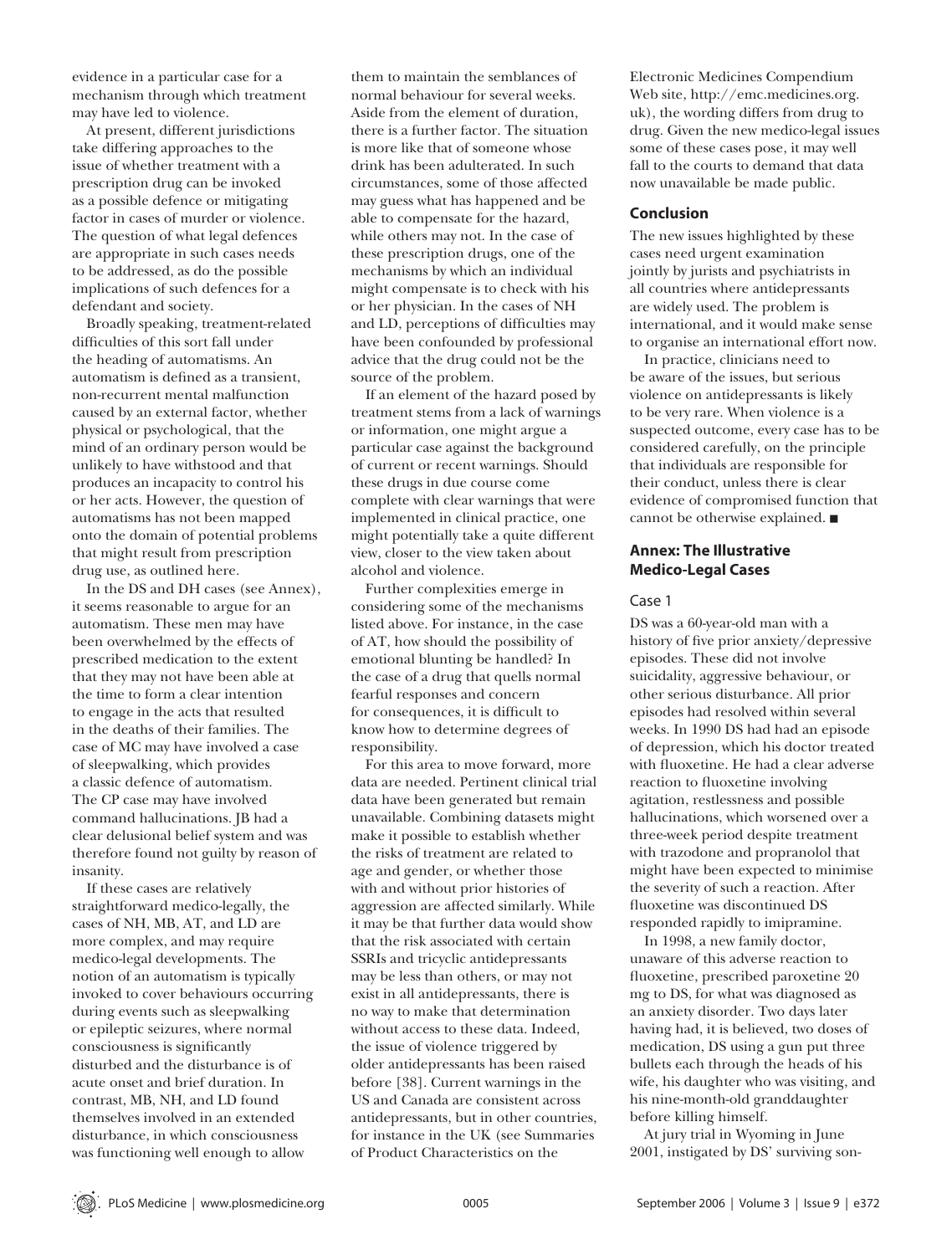evidence in a particular case for a mechanism through which treatment may have led to violence.

At present, different jurisdictions take differing approaches to the issue of whether treatment with a prescription drug can be invoked as a possible defence or mitigating factor in cases of murder or violence. The question of what legal defences are appropriate in such cases needs to be addressed, as do the possible implications of such defences for a defendant and society.

Broadly speaking, treatment-related difficulties of this sort fall under the heading of automatisms. An automatism is defined as a transient, non-recurrent mental malfunction caused by an external factor, whether physical or psychological, that the mind of an ordinary person would be unlikely to have withstood and that produces an incapacity to control his or her acts. However, the question of automatisms has not been mapped onto the domain of potential problems that might result from prescription drug use, as outlined here.

In the DS and DH cases (see Annex), it seems reasonable to argue for an automatism. These men may have been overwhelmed by the effects of prescribed medication to the extent that they may not have been able at the time to form a clear intention to engage in the acts that resulted in the deaths of their families. The case of MC may have involved a case of sleepwalking, which provides a classic defence of automatism. The CP case may have involved command hallucinations. JB had a clear delusional belief system and was therefore found not guilty by reason of insanity.

If these cases are relatively straightforward medico-legally, the cases of NH, MB, AT, and LD are more complex, and may require medico-legal developments. The notion of an automatism is typically invoked to cover behaviours occurring during events such as sleepwalking or epileptic seizures, where normal consciousness is significantly disturbed and the disturbance is of acute onset and brief duration. In contrast, MB, NH, and LD found themselves involved in an extended disturbance, in which consciousness was functioning well enough to allow

them to maintain the semblances of normal behaviour for several weeks. Aside from the element of duration, there is a further factor. The situation is more like that of someone whose drink has been adulterated. In such circumstances, some of those affected may guess what has happened and be able to compensate for the hazard, while others may not. In the case of these prescription drugs, one of the mechanisms by which an individual might compensate is to check with his or her physician. In the cases of NH and LD, perceptions of difficulties may have been confounded by professional advice that the drug could not be the source of the problem.

If an element of the hazard posed by treatment stems from a lack of warnings or information, one might argue a particular case against the background of current or recent warnings. Should these drugs in due course come complete with clear warnings that were implemented in clinical practice, one might potentially take a quite different view, closer to the view taken about alcohol and violence.

Further complexities emerge in considering some of the mechanisms listed above. For instance, in the case of AT, how should the possibility of emotional blunting be handled? In the case of a drug that quells normal fearful responses and concern for consequences, it is difficult to know how to determine degrees of responsibility.

For this area to move forward, more data are needed. Pertinent clinical trial data have been generated but remain unavailable. Combining datasets might make it possible to establish whether the risks of treatment are related to age and gender, or whether those with and without prior histories of aggression are affected similarly. While it may be that further data would show that the risk associated with certain SSRIs and tricyclic antidepressants may be less than others, or may not exist in all antidepressants, there is no way to make that determination without access to these data. Indeed, the issue of violence triggered by older antidepressants has been raised before [38]. Current warnings in the US and Canada are consistent across antidepressants, but in other countries, for instance in the UK (see Summaries of Product Characteristics on the

Electronic Medicines Compendium Web site, http://emc.medicines.org. uk), the wording differs from drug to drug. Given the new medico-legal issues some of these cases pose, it may well fall to the courts to demand that data now unavailable be made public.

#### **Conclusion**

The new issues highlighted by these cases need urgent examination jointly by jurists and psychiatrists in all countries where antidepressants are widely used. The problem is international, and it would make sense to organise an international effort now.

In practice, clinicians need to be aware of the issues, but serious violence on antidepressants is likely to be very rare. When violence is a suspected outcome, every case has to be considered carefully, on the principle that individuals are responsible for their conduct, unless there is clear evidence of compromised function that cannot be otherwise explained.  $\blacksquare$ 

### **Annex: The Illustrative Medico-Legal Cases**

#### Case 1

DS was a 60-year-old man with a history of five prior anxiety/depressive episodes. These did not involve suicidality, aggressive behaviour, or other serious disturbance. All prior episodes had resolved within several weeks. In 1990 DS had had an episode of depression, which his doctor treated with fluoxetine. He had a clear adverse reaction to fluoxetine involving agitation, restlessness and possible hallucinations, which worsened over a three-week period despite treatment with trazodone and propranolol that might have been expected to minimise the severity of such a reaction. After fluoxetine was discontinued DS responded rapidly to imipramine.

In 1998, a new family doctor, unaware of this adverse reaction to fluoxetine, prescribed paroxetine 20 mg to DS, for what was diagnosed as an anxiety disorder. Two days later having had, it is believed, two doses of medication, DS using a gun put three bullets each through the heads of his wife, his daughter who was visiting, and his nine-month-old granddaughter before killing himself.

At jury trial in Wyoming in June 2001, instigated by DS' surviving son-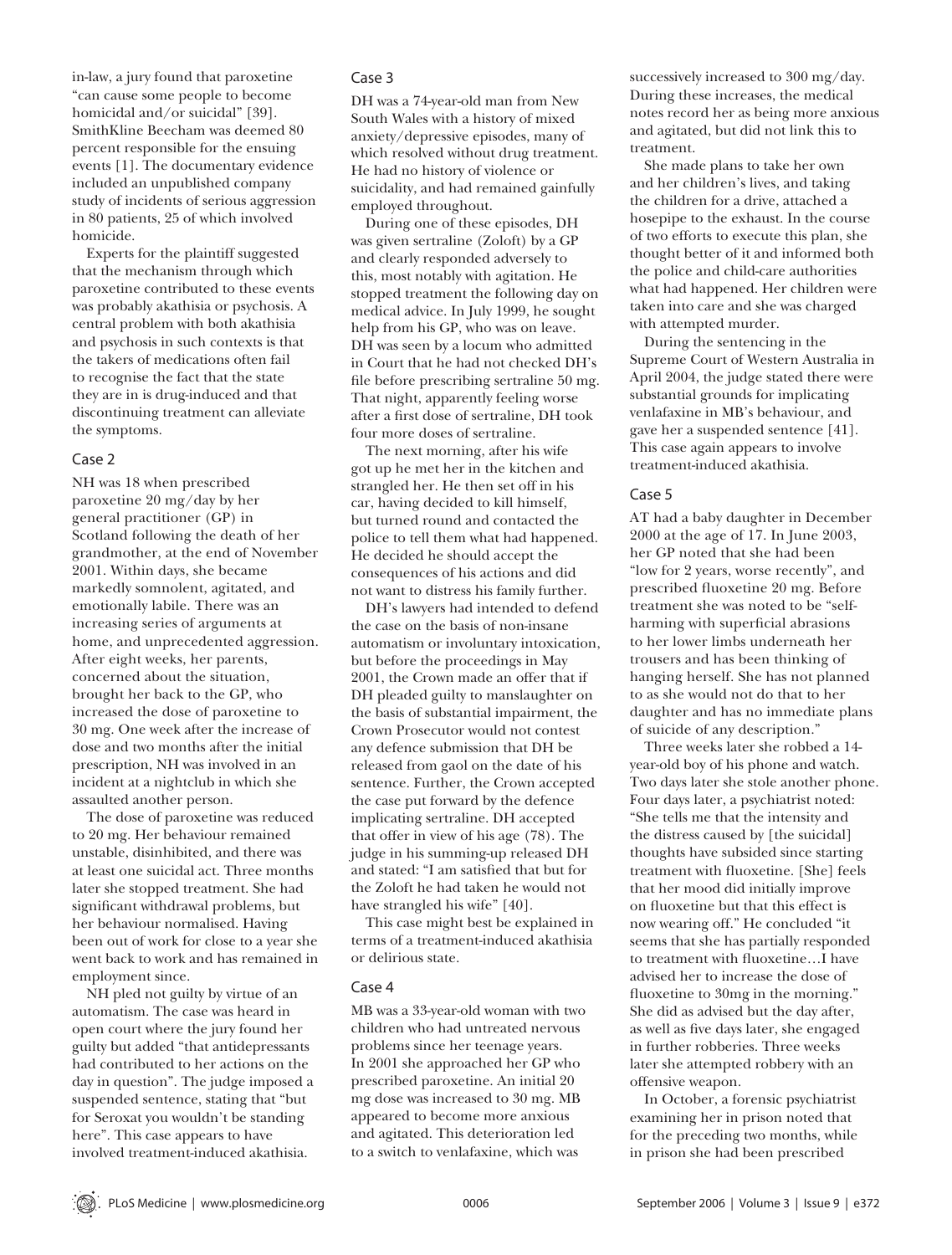in-law, a jury found that paroxetine "can cause some people to become homicidal and/or suicidal" [39]. SmithKline Beecham was deemed 80 percent responsible for the ensuing events [1]. The documentary evidence included an unpublished company study of incidents of serious aggression in 80 patients, 25 of which involved homicide.

Experts for the plaintiff suggested that the mechanism through which paroxetine contributed to these events was probably akathisia or psychosis. A central problem with both akathisia and psychosis in such contexts is that the takers of medications often fail to recognise the fact that the state they are in is drug-induced and that discontinuing treatment can alleviate the symptoms.

#### Case 2

NH was 18 when prescribed paroxetine 20 mg/day by her general practitioner (GP) in Scotland following the death of her grandmother, at the end of November 2001. Within days, she became markedly somnolent, agitated, and emotionally labile. There was an increasing series of arguments at home, and unprecedented aggression. After eight weeks, her parents, concerned about the situation, brought her back to the GP, who increased the dose of paroxetine to 30 mg. One week after the increase of dose and two months after the initial prescription, NH was involved in an incident at a nightclub in which she assaulted another person.

The dose of paroxetine was reduced to 20 mg. Her behaviour remained unstable, disinhibited, and there was at least one suicidal act. Three months later she stopped treatment. She had significant withdrawal problems, but her behaviour normalised. Having been out of work for close to a year she went back to work and has remained in employment since.

NH pled not guilty by virtue of an automatism. The case was heard in open court where the jury found her guilty but added "that antidepressants had contributed to her actions on the day in question". The judge imposed a suspended sentence, stating that "but for Seroxat you wouldn't be standing here". This case appears to have involved treatment-induced akathisia.

## Case 3

DH was a 74-year-old man from New South Wales with a history of mixed anxiety/depressive episodes, many of which resolved without drug treatment. He had no history of violence or suicidality, and had remained gainfully employed throughout.

During one of these episodes, DH was given sertraline (Zoloft) by a GP and clearly responded adversely to this, most notably with agitation. He stopped treatment the following day on medical advice. In July 1999, he sought help from his GP, who was on leave. DH was seen by a locum who admitted in Court that he had not checked DH's file before prescribing sertraline 50 mg. That night, apparently feeling worse after a first dose of sertraline, DH took four more doses of sertraline.

The next morning, after his wife got up he met her in the kitchen and strangled her. He then set off in his car, having decided to kill himself, but turned round and contacted the police to tell them what had happened. He decided he should accept the consequences of his actions and did not want to distress his family further.

DH's lawyers had intended to defend the case on the basis of non-insane automatism or involuntary intoxication, but before the proceedings in May 2001, the Crown made an offer that if DH pleaded guilty to manslaughter on the basis of substantial impairment, the Crown Prosecutor would not contest any defence submission that DH be released from gaol on the date of his sentence. Further, the Crown accepted the case put forward by the defence implicating sertraline. DH accepted that offer in view of his age (78). The judge in his summing-up released DH and stated: "I am satisfied that but for the Zoloft he had taken he would not have strangled his wife" [40].

This case might best be explained in terms of a treatment-induced akathisia or delirious state.

#### Case 4

MB was a 33-year-old woman with two children who had untreated nervous problems since her teenage years. In 2001 she approached her GP who prescribed paroxetine. An initial 20 mg dose was increased to 30 mg. MB appeared to become more anxious and agitated. This deterioration led to a switch to venlafaxine, which was

successively increased to 300 mg/day. During these increases, the medical notes record her as being more anxious and agitated, but did not link this to treatment.

She made plans to take her own and her children's lives, and taking the children for a drive, attached a hosepipe to the exhaust. In the course of two efforts to execute this plan, she thought better of it and informed both the police and child-care authorities what had happened. Her children were taken into care and she was charged with attempted murder.

During the sentencing in the Supreme Court of Western Australia in April 2004, the judge stated there were substantial grounds for implicating venlafaxine in MB's behaviour, and gave her a suspended sentence [41]. This case again appears to involve treatment-induced akathisia.

### Case 5

AT had a baby daughter in December 2000 at the age of 17. In June 2003, her GP noted that she had been "low for 2 years, worse recently", and prescribed fluoxetine 20 mg. Before treatment she was noted to be "selfharming with superficial abrasions to her lower limbs underneath her trousers and has been thinking of hanging herself. She has not planned to as she would not do that to her daughter and has no immediate plans of suicide of any description."

Three weeks later she robbed a 14 year-old boy of his phone and watch. Two days later she stole another phone. Four days later, a psychiatrist noted: "She tells me that the intensity and the distress caused by [the suicidal] thoughts have subsided since starting treatment with fluoxetine. [She] feels that her mood did initially improve on fluoxetine but that this effect is now wearing off." He concluded "it seems that she has partially responded to treatment with fluoxetine...I have advised her to increase the dose of fluoxetine to 30mg in the morning." She did as advised but the day after, as well as five days later, she engaged in further robberies. Three weeks later she attempted robbery with an offensive weapon.

In October, a forensic psychiatrist examining her in prison noted that for the preceding two months, while in prison she had been prescribed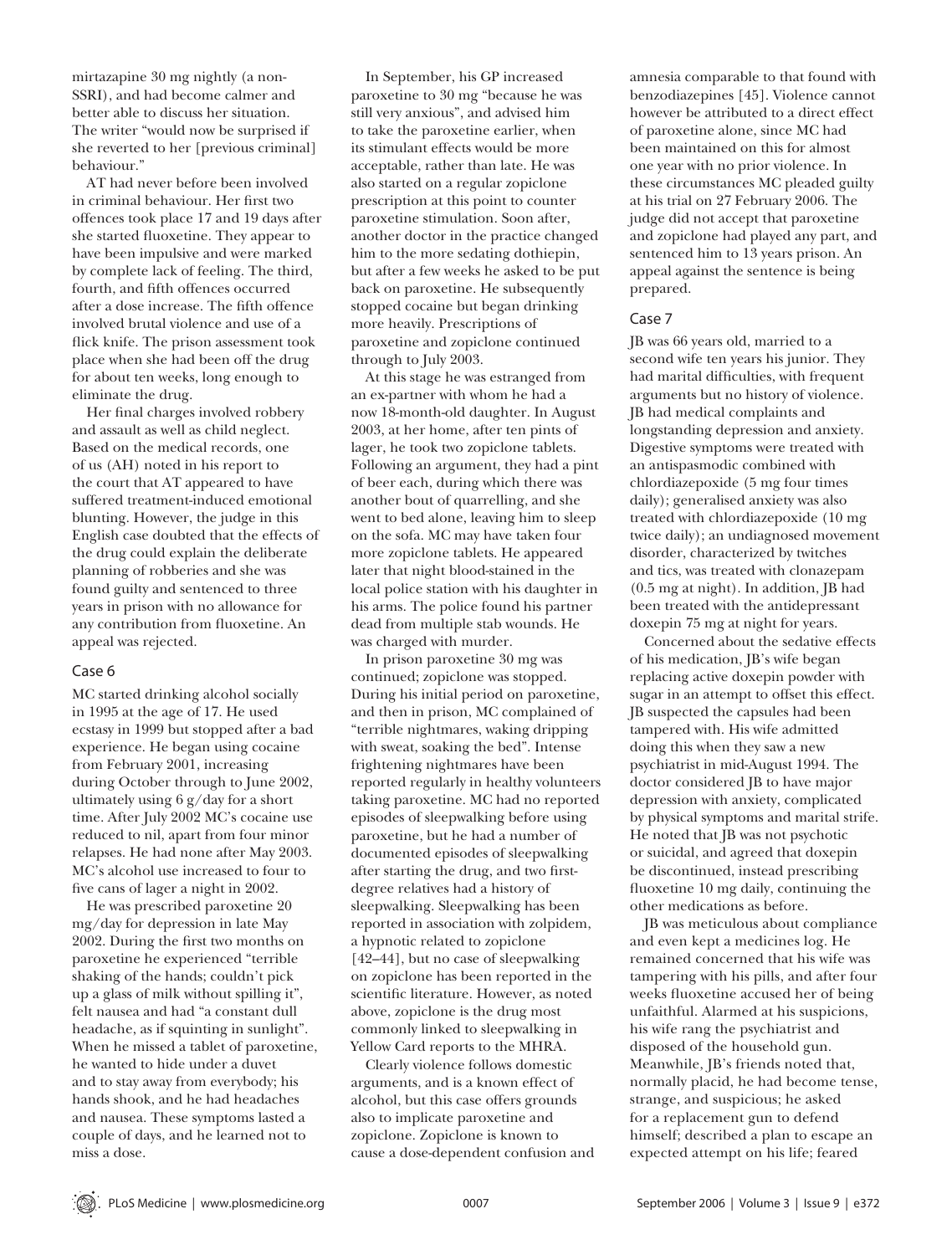mirtazapine 30 mg nightly (a non-SSRI), and had become calmer and better able to discuss her situation. The writer "would now be surprised if she reverted to her [previous criminal] behaviour."

AT had never before been involved in criminal behaviour. Her first two offences took place 17 and 19 days after she started fluoxetine. They appear to have been impulsive and were marked by complete lack of feeling. The third, fourth, and fifth offences occurred after a dose increase. The fifth offence involved brutal violence and use of a flick knife. The prison assessment took place when she had been off the drug for about ten weeks, long enough to eliminate the drug.

Her final charges involved robbery and assault as well as child neglect. Based on the medical records, one of us (AH) noted in his report to the court that AT appeared to have suffered treatment-induced emotional blunting. However, the judge in this English case doubted that the effects of the drug could explain the deliberate planning of robberies and she was found guilty and sentenced to three years in prison with no allowance for any contribution from fluoxetine. An appeal was rejected.

#### Case 6

MC started drinking alcohol socially in 1995 at the age of 17. He used ecstasy in 1999 but stopped after a bad experience. He began using cocaine from February 2001, increasing during October through to June 2002, ultimately using 6 g/day for a short time. After July 2002 MC's cocaine use reduced to nil, apart from four minor relapses. He had none after May 2003. MC's alcohol use increased to four to five cans of lager a night in 2002.

He was prescribed paroxetine 20 mg/day for depression in late May 2002. During the first two months on paroxetine he experienced "terrible shaking of the hands; couldn't pick up a glass of milk without spilling it", felt nausea and had "a constant dull headache, as if squinting in sunlight". When he missed a tablet of paroxetine, he wanted to hide under a duvet and to stay away from everybody; his hands shook, and he had headaches and nausea. These symptoms lasted a couple of days, and he learned not to miss a dose.

In September, his GP increased paroxetine to 30 mg "because he was still very anxious", and advised him to take the paroxetine earlier, when its stimulant effects would be more acceptable, rather than late. He was also started on a regular zopiclone prescription at this point to counter paroxetine stimulation. Soon after, another doctor in the practice changed him to the more sedating dothiepin, but after a few weeks he asked to be put back on paroxetine. He subsequently stopped cocaine but began drinking more heavily. Prescriptions of paroxetine and zopiclone continued through to July 2003.

At this stage he was estranged from an ex-partner with whom he had a now 18-month-old daughter. In August 2003, at her home, after ten pints of lager, he took two zopiclone tablets. Following an argument, they had a pint of beer each, during which there was another bout of quarrelling, and she went to bed alone, leaving him to sleep on the sofa. MC may have taken four more zopiclone tablets. He appeared later that night blood-stained in the local police station with his daughter in his arms. The police found his partner dead from multiple stab wounds. He was charged with murder.

In prison paroxetine 30 mg was continued; zopiclone was stopped. During his initial period on paroxetine, and then in prison, MC complained of "terrible nightmares, waking dripping with sweat, soaking the bed". Intense frightening nightmares have been reported regularly in healthy volunteers taking paroxetine. MC had no reported episodes of sleepwalking before using paroxetine, but he had a number of documented episodes of sleepwalking after starting the drug, and two firstdegree relatives had a history of sleepwalking. Sleepwalking has been reported in association with zolpidem, a hypnotic related to zopiclone [42-44], but no case of sleepwalking on zopiclone has been reported in the scientific literature. However, as noted above, zopiclone is the drug most commonly linked to sleepwalking in Yellow Card reports to the MHRA.

Clearly violence follows domestic arguments, and is a known effect of alcohol, but this case offers grounds also to implicate paroxetine and zopiclone. Zopiclone is known to cause a dose-dependent confusion and amnesia comparable to that found with benzodiazepines [45]. Violence cannot however be attributed to a direct effect of paroxetine alone, since MC had been maintained on this for almost one year with no prior violence. In these circumstances MC pleaded guilty at his trial on 27 February 2006. The judge did not accept that paroxetine and zopiclone had played any part, and sentenced him to 13 years prison. An appeal against the sentence is being prepared.

#### Case 7

JB was 66 years old, married to a second wife ten years his junior. They had marital difficulties, with frequent arguments but no history of violence. JB had medical complaints and longstanding depression and anxiety. Digestive symptoms were treated with an antispasmodic combined with chlordiazepoxide (5 mg four times daily); generalised anxiety was also treated with chlordiazepoxide (10 mg twice daily); an undiagnosed movement disorder, characterized by twitches and tics, was treated with clonazepam (0.5 mg at night). In addition, JB had been treated with the antidepressant doxepin 75 mg at night for years.

Concerned about the sedative effects of his medication, JB's wife began replacing active doxepin powder with sugar in an attempt to offset this effect. JB suspected the capsules had been tampered with. His wife admitted doing this when they saw a new psychiatrist in mid-August 1994. The doctor considered JB to have major depression with anxiety, complicated by physical symptoms and marital strife. He noted that JB was not psychotic or suicidal, and agreed that doxepin be discontinued, instead prescribing fluoxetine 10 mg daily, continuing the other medications as before.

JB was meticulous about compliance and even kept a medicines log. He remained concerned that his wife was tampering with his pills, and after four weeks fluoxetine accused her of being unfaithful. Alarmed at his suspicions, his wife rang the psychiatrist and disposed of the household gun. Meanwhile, JB's friends noted that, normally placid, he had become tense, strange, and suspicious; he asked for a replacement gun to defend himself; described a plan to escape an expected attempt on his life; feared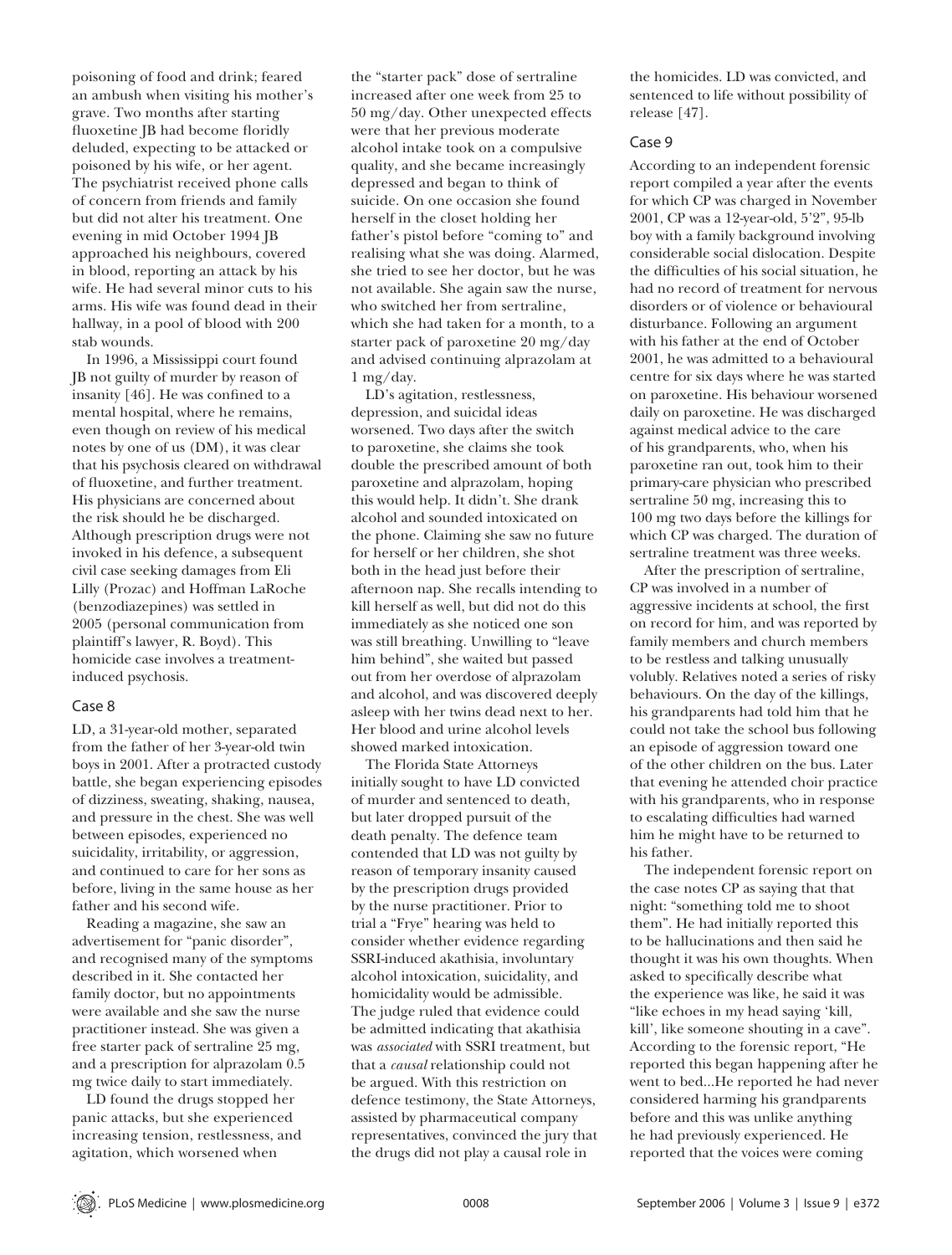poisoning of food and drink; feared an ambush when visiting his mother's grave. Two months after starting fluoxetine JB had become floridly deluded, expecting to be attacked or poisoned by his wife, or her agent. The psychiatrist received phone calls of concern from friends and family but did not alter his treatment. One evening in mid October 1994 JB approached his neighbours, covered in blood, reporting an attack by his wife. He had several minor cuts to his arms. His wife was found dead in their hallway, in a pool of blood with 200 stab wounds.

In 1996, a Mississippi court found JB not guilty of murder by reason of insanity  $[46]$ . He was confined to a mental hospital, where he remains, even though on review of his medical notes by one of us (DM), it was clear that his psychosis cleared on withdrawal of fluoxetine, and further treatment. His physicians are concerned about the risk should he be discharged. Although prescription drugs were not invoked in his defence, a subsequent civil case seeking damages from Eli Lilly (Prozac) and Hoffman LaRoche (benzodiazepines) was settled in 2005 (personal communication from plaintiff's lawyer, R. Boyd). This homicide case involves a treatmentinduced psychosis.

#### Case 8

LD, a 31-year-old mother, separated from the father of her 3-year-old twin boys in 2001. After a protracted custody battle, she began experiencing episodes of dizziness, sweating, shaking, nausea, and pressure in the chest. She was well between episodes, experienced no suicidality, irritability, or aggression, and continued to care for her sons as before, living in the same house as her father and his second wife.

Reading a magazine, she saw an advertisement for "panic disorder", and recognised many of the symptoms described in it. She contacted her family doctor, but no appointments were available and she saw the nurse practitioner instead. She was given a free starter pack of sertraline 25 mg, and a prescription for alprazolam 0.5 mg twice daily to start immediately.

LD found the drugs stopped her panic attacks, but she experienced increasing tension, restlessness, and agitation, which worsened when

the "starter pack" dose of sertraline increased after one week from 25 to 50 mg/day. Other unexpected effects were that her previous moderate alcohol intake took on a compulsive quality, and she became increasingly depressed and began to think of suicide. On one occasion she found herself in the closet holding her father's pistol before "coming to" and realising what she was doing. Alarmed, she tried to see her doctor, but he was not available. She again saw the nurse, who switched her from sertraline, which she had taken for a month, to a starter pack of paroxetine 20 mg/day and advised continuing alprazolam at 1 mg/day.

LD's agitation, restlessness, depression, and suicidal ideas worsened. Two days after the switch to paroxetine, she claims she took double the prescribed amount of both paroxetine and alprazolam, hoping this would help. It didn't. She drank alcohol and sounded intoxicated on the phone. Claiming she saw no future for herself or her children, she shot both in the head just before their afternoon nap. She recalls intending to kill herself as well, but did not do this immediately as she noticed one son was still breathing. Unwilling to "leave him behind", she waited but passed out from her overdose of alprazolam and alcohol, and was discovered deeply asleep with her twins dead next to her. Her blood and urine alcohol levels showed marked intoxication.

The Florida State Attorneys initially sought to have LD convicted of murder and sentenced to death, but later dropped pursuit of the death penalty. The defence team contended that LD was not guilty by reason of temporary insanity caused by the prescription drugs provided by the nurse practitioner. Prior to trial a "Frye" hearing was held to consider whether evidence regarding SSRI-induced akathisia, involuntary alcohol intoxication, suicidality, and homicidality would be admissible. The judge ruled that evidence could be admitted indicating that akathisia was *associated* with SSRI treatment, but that a *causal* relationship could not be argued. With this restriction on defence testimony, the State Attorneys, assisted by pharmaceutical company representatives, convinced the jury that the drugs did not play a causal role in

the homicides. LD was convicted, and sentenced to life without possibility of release [47].

#### Case 9

According to an independent forensic report compiled a year after the events for which CP was charged in November 2001, CP was a 12-year-old, 5'2", 95-lb boy with a family background involving considerable social dislocation. Despite the difficulties of his social situation, he had no record of treatment for nervous disorders or of violence or behavioural disturbance. Following an argument with his father at the end of October 2001, he was admitted to a behavioural centre for six days where he was started on paroxetine. His behaviour worsened daily on paroxetine. He was discharged against medical advice to the care of his grandparents, who, when his paroxetine ran out, took him to their primary-care physician who prescribed sertraline 50 mg, increasing this to 100 mg two days before the killings for which CP was charged. The duration of sertraline treatment was three weeks.

After the prescription of sertraline, CP was involved in a number of aggressive incidents at school, the first on record for him, and was reported by family members and church members to be restless and talking unusually volubly. Relatives noted a series of risky behaviours. On the day of the killings, his grandparents had told him that he could not take the school bus following an episode of aggression toward one of the other children on the bus. Later that evening he attended choir practice with his grandparents, who in response to escalating difficulties had warned him he might have to be returned to his father.

The independent forensic report on the case notes CP as saying that that night: "something told me to shoot them". He had initially reported this to be hallucinations and then said he thought it was his own thoughts. When asked to specifically describe what the experience was like, he said it was "like echoes in my head saying 'kill, kill', like someone shouting in a cave". According to the forensic report, "He reported this began happening after he went to bed...He reported he had never considered harming his grandparents before and this was unlike anything he had previously experienced. He reported that the voices were coming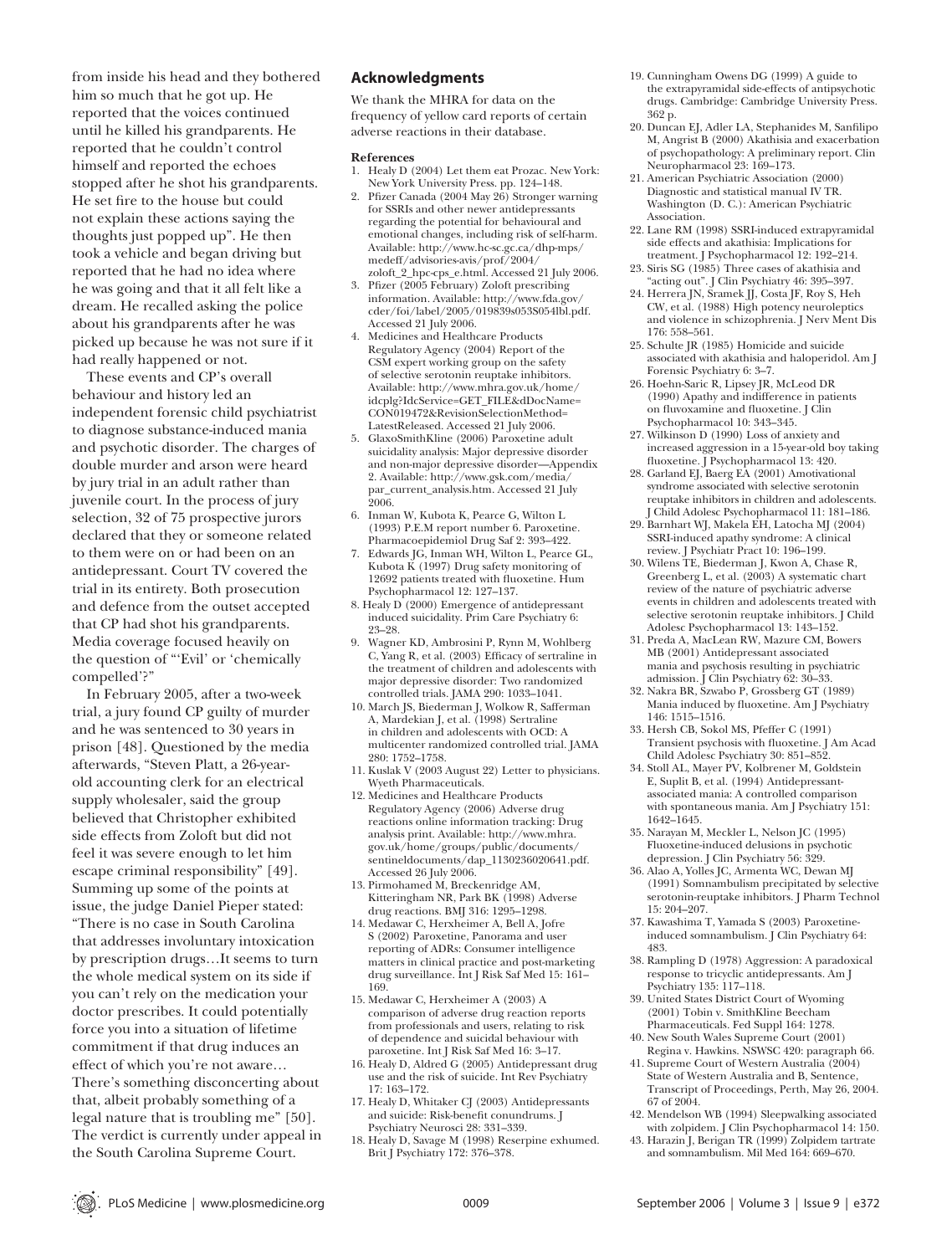from inside his head and they bothered him so much that he got up. He reported that the voices continued until he killed his grandparents. He reported that he couldn't control himself and reported the echoes stopped after he shot his grandparents. He set fire to the house but could not explain these actions saying the thoughts just popped up". He then took a vehicle and began driving but reported that he had no idea where he was going and that it all felt like a dream. He recalled asking the police about his grandparents after he was picked up because he was not sure if it had really happened or not.

These events and CP's overall behaviour and history led an independent forensic child psychiatrist to diagnose substance-induced mania and psychotic disorder. The charges of double murder and arson were heard by jury trial in an adult rather than juvenile court. In the process of jury selection, 32 of 75 prospective jurors declared that they or someone related to them were on or had been on an antidepressant. Court TV covered the trial in its entirety. Both prosecution and defence from the outset accepted that CP had shot his grandparents. Media coverage focused heavily on the question of "'Evil' or 'chemically compelled'?"

In February 2005, after a two-week trial, a jury found CP guilty of murder and he was sentenced to 30 years in prison [48]. Questioned by the media afterwards, "Steven Platt, a 26-yearold accounting clerk for an electrical supply wholesaler, said the group believed that Christopher exhibited side effects from Zoloft but did not feel it was severe enough to let him escape criminal responsibility" [49]. Summing up some of the points at issue, the judge Daniel Pieper stated: "There is no case in South Carolina that addresses involuntary intoxication by prescription drugs…It seems to turn the whole medical system on its side if you can't rely on the medication your doctor prescribes. It could potentially force you into a situation of lifetime commitment if that drug induces an effect of which you're not aware… There's something disconcerting about that, albeit probably something of a legal nature that is troubling me" [50]. The verdict is currently under appeal in the South Carolina Supreme Court.

### **Acknowledgments**

We thank the MHRA for data on the frequency of yellow card reports of certain adverse reactions in their database.

#### **References**

- Healy D (2004) Let them eat Prozac. New York: New York University Press. pp. 124–148.
- 2. Pfizer Canada  $(2004$  May  $26)$  Stronger warning for SSRIs and other newer antidepressants regarding the potential for behavioural and emotional changes, including risk of self-harm. Available: http:⁄⁄www.hc-sc.gc.ca/dhp-mps/ medeff/advisories-avis/prof/2004/ zoloft\_2\_hpc-cps\_e.html. Accessed 21 July 2006.
- 3. Pfizer (2005 February) Zoloft prescribing information. Available: http:⁄⁄www.fda.gov/ cder/foi/label/2005/019839s053S054lbl.pdf. Accessed 21 July 2006.
- 4. Medicines and Healthcare Products Regulatory Agency (2004) Report of the CSM expert working group on the safety of selective serotonin reuptake inhibitors. Available: http:⁄⁄www.mhra.gov.uk/home/ idcplg?IdcService=GET\_FILE&dDocName= CON019472&RevisionSelectionMethod= LatestReleased. Accessed 21 July 2006.
- 5. GlaxoSmithKline (2006) Paroxetine adult suicidality analysis: Major depressive disorder and non-major depressive disorder—Appendix 2. Available: http:⁄⁄www.gsk.com/media/ par\_current\_analysis.htm. Accessed 21 July 2006.
- 6. Inman W, Kubota K, Pearce G, Wilton L (1993) P.E.M report number 6. Paroxetine. Pharmacoepidemiol Drug Saf 2: 393–422.
- 7. Edwards JG, Inman WH, Wilton L, Pearce GL, Kubota K (1997) Drug safety monitoring of 12692 patients treated with fluoxetine. Hum Psychopharmacol 12: 127–137.
- 8. Healy D (2000) Emergence of antidepressant induced suicidality. Prim Care Psychiatry 6: 93–98.
- 9. Wagner KD, Ambrosini P, Rynn M, Wohlberg C, Yang R, et al.  $(2003)$  Efficacy of sertraline in the treatment of children and adolescents with major depressive disorder: Two randomized controlled trials. JAMA 290: 1033–1041.
- 10. March JS, Biederman J, Wolkow R, Safferman A, Mardekian J, et al. (1998) Sertraline in children and adolescents with OCD: A multicenter randomized controlled trial. JAMA 280: 1752–1758.
- 11. Kuslak V (2003 August 22) Letter to physicians. Wyeth Pharmaceuticals.
- 12. Medicines and Healthcare Products Regulatory Agency (2006) Adverse drug reactions online information tracking: Drug analysis print. Available: http:⁄⁄www.mhra. gov.uk/home/groups/public/documents/ sentineldocuments/dap\_1130236020641.pdf. Accessed 26 July 2006.
- 13. Pirmohamed M, Breckenridge AM, Kitteringham NR, Park BK (1998) Adverse drug reactions. BMJ 316: 1295–1298.
- 14. Medawar C, Herxheimer A, Bell A, Jofre S (2002) Paroxetine, Panorama and user reporting of ADRs: Consumer intelligence matters in clinical practice and post-marketing drug surveillance. Int J Risk Saf Med 15: 161– 169.
- 15. Medawar C, Herxheimer A (2003) A comparison of adverse drug reaction reports from professionals and users, relating to risk of dependence and suicidal behaviour with paroxetine. Int J Risk Saf Med 16: 3–17.
- 16. Healy D, Aldred G (2005) Antidepressant drug use and the risk of suicide. Int Rev Psychiatry 17: 163–172.
- 17. Healy D, Whitaker CJ (2003) Antidepressants and suicide: Risk-benefit conundrums. J Psychiatry Neurosci 28: 331–339.
- 18. Healy D, Savage M (1998) Reserpine exhumed. Brit J Psychiatry 172: 376–378.
- 19. Cunningham Owens DG (1999) A guide to the extrapyramidal side-effects of antipsychotic drugs. Cambridge: Cambridge University Press. 362 p.
- 20. Duncan EJ, Adler LA, Stephanides M, Sanfilipo M, Angrist B (2000) Akathisia and exacerbation of psychopathology: A preliminary report. Clin Neuropharmacol 23: 169–173.
- 21. American Psychiatric Association (2000) Diagnostic and statistical manual IV TR. Washington (D. C.): American Psychiatric Association.
- 22. Lane RM (1998) SSRI-induced extrapyramidal side effects and akathisia: Implications for treatment. J Psychopharmacol 12: 192–214.
- 23. Siris SG (1985) Three cases of akathisia and "acting out". J Clin Psychiatry 46: 395–397.
- 24. Herrera JN, Sramek JJ, Costa JF, Roy S, Heh CW, et al. (1988) High potency neuroleptics and violence in schizophrenia. J Nerv Ment Dis 176: 558–561.
- 25. Schulte JR (1985) Homicide and suicide associated with akathisia and haloperidol. Am J Forensic Psychiatry 6: 3–7.
- 26. Hoehn-Saric R, Lipsey JR, McLeod DR (1990) Apathy and indifference in patients on fluvoxamine and fluoxetine. J Clin Psychopharmacol 10: 343–345.
- 27. Wilkinson D (1990) Loss of anxiety and increased aggression in a 15-year-old boy taking fluoxetine. J Psychopharmacol 13: 420.
- 28. Garland EJ, Baerg EA (2001) Amotivational syndrome associated with selective serotonin reuptake inhibitors in children and adolescents. J Child Adolesc Psychopharmacol 11: 181–186.
- 29. Barnhart WJ, Makela EH, Latocha MJ (2004) SSRI-induced apathy syndrome: A clinical review. J Psychiatr Pract 10: 196–199.
- 30. Wilens TE, Biederman J, Kwon A, Chase R, Greenberg L, et al. (2003) A systematic chart review of the nature of psychiatric adverse events in children and adolescents treated with selective serotonin reuptake inhibitors. J Child Adolesc Psychopharmacol 13: 143–152.
- 31. Preda A, MacLean RW, Mazure CM, Bowers MB (2001) Antidepressant associated mania and psychosis resulting in psychiatric admission. J Clin Psychiatry 62: 30–33.
- 32. Nakra BR, Szwabo P, Grossberg GT (1989) Mania induced by fluoxetine. Am J Psychiatry 146: 1515–1516.
- 33. Hersh CB, Sokol MS, Pfeffer C (1991) Transient psychosis with fluoxetine. J Am Acad Child Adolesc Psychiatry 30: 851–852.
- 34. Stoll AL, Mayer PV, Kolbrener M, Goldstein E, Suplit B, et al. (1994) Antidepressantassociated mania: A controlled comparison with spontaneous mania. Am J Psychiatry 151: 1642–1645.
- 35. Narayan M, Meckler L, Nelson JC (1995) Fluoxetine-induced delusions in psychotic depression. J Clin Psychiatry 56: 329.
- 36. Alao A, Yolles JC, Armenta WC, Dewan MJ (1991) Somnambulism precipitated by selective serotonin-reuptake inhibitors. J Pharm Technol 15: 204–207.
- 37. Kawashima T, Yamada S (2003) Paroxetineinduced somnambulism. J Clin Psychiatry 64: 483.
- 38. Rampling D (1978) Aggression: A paradoxical response to tricyclic antidepressants. Am J Psychiatry 135: 117–118.
- 39. United States District Court of Wyoming (2001) Tobin v. SmithKline Beecham Pharmaceuticals. Fed Suppl 164: 1278.
- 40. New South Wales Supreme Court (2001) Regina v. Hawkins. NSWSC 420: paragraph 66.
- 41. Supreme Court of Western Australia (2004) State of Western Australia and B, Sentence, Transcript of Proceedings, Perth, May 26, 2004. 67 of 2004.
- 42. Mendelson WB (1994) Sleepwalking associated with zolpidem. J Clin Psychopharmacol 14: 150.
- 43. Harazin J, Berigan TR (1999) Zolpidem tartrate and somnambulism. Mil Med 164: 669–670.